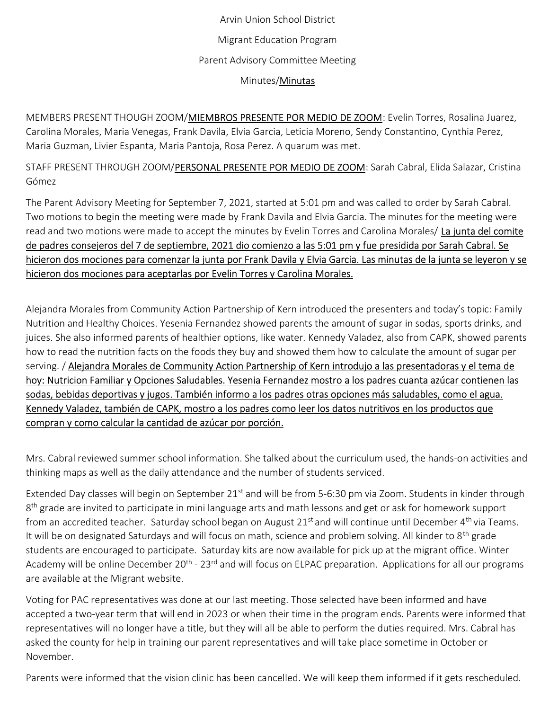## Arvin Union School District Migrant Education Program Parent Advisory Committee Meeting Minutes/Minutas

MEMBERS PRESENT THOUGH ZOOM/MIEMBROS PRESENTE POR MEDIO DE ZOOM: Evelin Torres, Rosalina Juarez, Carolina Morales, Maria Venegas, Frank Davila, Elvia Garcia, Leticia Moreno, Sendy Constantino, Cynthia Perez, Maria Guzman, Livier Espanta, Maria Pantoja, Rosa Perez. A quarum was met.

STAFF PRESENT THROUGH ZOOM/PERSONAL PRESENTE POR MEDIO DE ZOOM: Sarah Cabral, Elida Salazar, Cristina Gómez

The Parent Advisory Meeting for September 7, 2021, started at 5:01 pm and was called to order by Sarah Cabral. Two motions to begin the meeting were made by Frank Davila and Elvia Garcia. The minutes for the meeting were read and two motions were made to accept the minutes by Evelin Torres and Carolina Morales/ La junta del comite de padres consejeros del 7 de septiembre, 2021 dio comienzo a las 5:01 pm y fue presidida por Sarah Cabral. Se hicieron dos mociones para comenzar la junta por Frank Davila y Elvia Garcia. Las minutas de la junta se leyeron y se hicieron dos mociones para aceptarlas por Evelin Torres y Carolina Morales.

Alejandra Morales from Community Action Partnership of Kern introduced the presenters and today's topic: Family Nutrition and Healthy Choices. Yesenia Fernandez showed parents the amount of sugar in sodas, sports drinks, and juices. She also informed parents of healthier options, like water. Kennedy Valadez, also from CAPK, showed parents how to read the nutrition facts on the foods they buy and showed them how to calculate the amount of sugar per serving. / Alejandra Morales de Community Action Partnership of Kern introdujo a las presentadoras y el tema de hoy: Nutricion Familiar y Opciones Saludables. Yesenia Fernandez mostro a los padres cuanta azúcar contienen las sodas, bebidas deportivas y jugos. También informo a los padres otras opciones más saludables, como el agua. Kennedy Valadez, también de CAPK, mostro a los padres como leer los datos nutritivos en los productos que compran y como calcular la cantidad de azúcar por porción.

Mrs. Cabral reviewed summer school information. She talked about the curriculum used, the hands-on activities and thinking maps as well as the daily attendance and the number of students serviced.

Extended Day classes will begin on September 21<sup>st</sup> and will be from 5-6:30 pm via Zoom. Students in kinder through 8<sup>th</sup> grade are invited to participate in mini language arts and math lessons and get or ask for homework support from an accredited teacher. Saturday school began on August 21<sup>st</sup> and will continue until December 4<sup>th</sup> via Teams. It will be on designated Saturdays and will focus on math, science and problem solving. All kinder to 8<sup>th</sup> grade students are encouraged to participate. Saturday kits are now available for pick up at the migrant office. Winter Academy will be online December 20<sup>th</sup> - 23<sup>rd</sup> and will focus on ELPAC preparation. Applications for all our programs are available at the Migrant website.

Voting for PAC representatives was done at our last meeting. Those selected have been informed and have accepted a two-year term that will end in 2023 or when their time in the program ends. Parents were informed that representatives will no longer have a title, but they will all be able to perform the duties required. Mrs. Cabral has asked the county for help in training our parent representatives and will take place sometime in October or November.

Parents were informed that the vision clinic has been cancelled. We will keep them informed if it gets rescheduled.